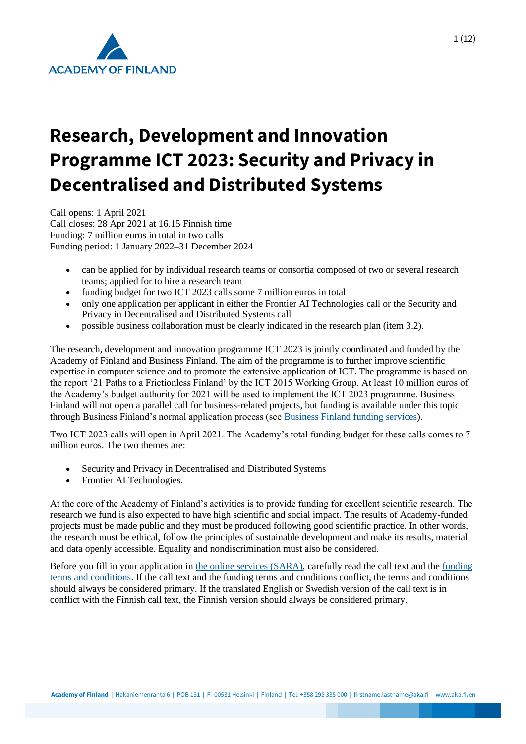

# **Research, Development and Innovation Programme ICT 2023: Security and Privacy in Decentralised and Distributed Systems**

Call opens: 1 April 2021 Call closes: 28 Apr 2021 at 16.15 Finnish time Funding: 7 million euros in total in two calls Funding period: 1 January 2022–31 December 2024

- can be applied for by individual research teams or consortia composed of two or several research teams; applied for to hire a research team
- funding budget for two ICT 2023 calls some 7 million euros in total
- only one application per applicant in either the Frontier AI Technologies call or the Security and Privacy in Decentralised and Distributed Systems call
- possible business collaboration must be clearly indicated in the research plan (item 3.2).

The research, development and innovation programme ICT 2023 is jointly coordinated and funded by the Academy of Finland and Business Finland. The aim of the programme is to further improve scientific expertise in computer science and to promote the extensive application of ICT. The programme is based on the report '21 Paths to a Frictionless Finland' by the ICT 2015 Working Group. At least 10 million euros of the Academy's budget authority for 2021 will be used to implement the ICT 2023 programme. Business Finland will not open a parallel call for business-related projects, but funding is available under this topic through Business Finland's normal application process (see [Business Finland funding services\)](https://www.businessfinland.fi/en/for-finnish-customers/services/funding).

Two ICT 2023 calls will open in April 2021. The Academy's total funding budget for these calls comes to 7 million euros. The two themes are:

- Security and Privacy in Decentralised and Distributed Systems
- Frontier AI Technologies.

At the core of the Academy of Finland's activities is to provide funding for excellent scientific research. The research we fund is also expected to have high scientific and social impact. The results of Academy-funded projects must be made public and they must be produced following good scientific practice. In other words, the research must be ethical, follow the principles of sustainable development and make its results, material and data openly accessible. Equality and nondiscrimination must also be considered.

Before you fill in your application in [the online services \(SARA\),](https://www.aka.fi/en/online-services/) carefully read the call text and the [funding](https://www.aka.fi/en/research-funding/apply-for-funding/how-to-use-funding/)  [terms and conditions.](https://www.aka.fi/en/research-funding/apply-for-funding/how-to-use-funding/) If the call text and the funding terms and conditions conflict, the terms and conditions should always be considered primary. If the translated English or Swedish version of the call text is in conflict with the Finnish call text, the Finnish version should always be considered primary.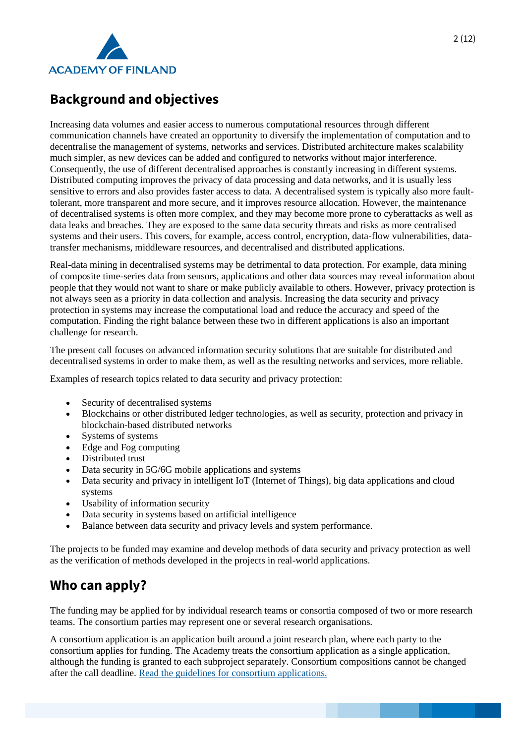

# **Background and objectives**

Increasing data volumes and easier access to numerous computational resources through different communication channels have created an opportunity to diversify the implementation of computation and to decentralise the management of systems, networks and services. Distributed architecture makes scalability much simpler, as new devices can be added and configured to networks without major interference. Consequently, the use of different decentralised approaches is constantly increasing in different systems. Distributed computing improves the privacy of data processing and data networks, and it is usually less sensitive to errors and also provides faster access to data. A decentralised system is typically also more faulttolerant, more transparent and more secure, and it improves resource allocation. However, the maintenance of decentralised systems is often more complex, and they may become more prone to cyberattacks as well as data leaks and breaches. They are exposed to the same data security threats and risks as more centralised systems and their users. This covers, for example, access control, encryption, data-flow vulnerabilities, datatransfer mechanisms, middleware resources, and decentralised and distributed applications.

Real-data mining in decentralised systems may be detrimental to data protection. For example, data mining of composite time-series data from sensors, applications and other data sources may reveal information about people that they would not want to share or make publicly available to others. However, privacy protection is not always seen as a priority in data collection and analysis. Increasing the data security and privacy protection in systems may increase the computational load and reduce the accuracy and speed of the computation. Finding the right balance between these two in different applications is also an important challenge for research.

The present call focuses on advanced information security solutions that are suitable for distributed and decentralised systems in order to make them, as well as the resulting networks and services, more reliable.

Examples of research topics related to data security and privacy protection:

- Security of decentralised systems
- Blockchains or other distributed ledger technologies, as well as security, protection and privacy in blockchain-based distributed networks
- Systems of systems
- Edge and Fog computing
- Distributed trust
- Data security in 5G/6G mobile applications and systems
- Data security and privacy in intelligent IoT (Internet of Things), big data applications and cloud systems
- Usability of information security
- Data security in systems based on artificial intelligence
- Balance between data security and privacy levels and system performance.

The projects to be funded may examine and develop methods of data security and privacy protection as well as the verification of methods developed in the projects in real-world applications.

# **Who can apply?**

The funding may be applied for by individual research teams or consortia composed of two or more research teams. The consortium parties may represent one or several research organisations.

A consortium application is an application built around a joint research plan, where each party to the consortium applies for funding. The Academy treats the consortium application as a single application, although the funding is granted to each subproject separately. Consortium compositions cannot be changed after the call deadline. [Read the guidelines for consortium applications.](https://www.aka.fi/en/research-funding/apply-for-funding/how-to-apply-for-funding/az-index-of-application-guidelines2/consortium-applications/)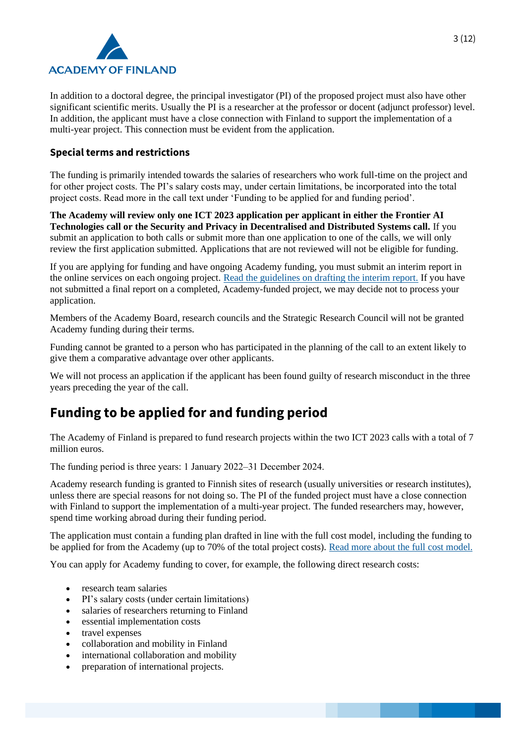

In addition to a doctoral degree, the principal investigator (PI) of the proposed project must also have other significant scientific merits. Usually the PI is a researcher at the professor or docent (adjunct professor) level. In addition, the applicant must have a close connection with Finland to support the implementation of a multi-year project. This connection must be evident from the application.

### **Special terms and restrictions**

The funding is primarily intended towards the salaries of researchers who work full-time on the project and for other project costs. The PI's salary costs may, under certain limitations, be incorporated into the total project costs. Read more in the call text under 'Funding to be applied for and funding period'.

**The Academy will review only one ICT 2023 application per applicant in either the Frontier AI Technologies call or the Security and Privacy in Decentralised and Distributed Systems call.** If you submit an application to both calls or submit more than one application to one of the calls, we will only review the first application submitted. Applications that are not reviewed will not be eligible for funding.

If you are applying for funding and have ongoing Academy funding, you must submit an interim report in the online services on each ongoing project. [Read the guidelines on drafting the interim report.](https://www.aka.fi/en/research-funding/apply-for-funding/how-to-apply-for-funding/az-index-of-application-guidelines2/interim-report/) If you have not submitted a final report on a completed, Academy-funded project, we may decide not to process your application.

Members of the Academy Board, research councils and the Strategic Research Council will not be granted Academy funding during their terms.

Funding cannot be granted to a person who has participated in the planning of the call to an extent likely to give them a comparative advantage over other applicants.

We will not process an application if the applicant has been found guilty of research misconduct in the three years preceding the year of the call.

# **Funding to be applied for and funding period**

The Academy of Finland is prepared to fund research projects within the two ICT 2023 calls with a total of 7 million euros.

The funding period is three years: 1 January 2022–31 December 2024.

Academy research funding is granted to Finnish sites of research (usually universities or research institutes), unless there are special reasons for not doing so. The PI of the funded project must have a close connection with Finland to support the implementation of a multi-year project. The funded researchers may, however, spend time working abroad during their funding period.

The application must contain a funding plan drafted in line with the full cost model, including the funding to be applied for from the Academy (up to 70% of the total project costs). [Read more about the full cost model.](https://www.aka.fi/en/research-funding/apply-for-funding/how-to-apply-for-funding/az-index-of-application-guidelines2/full-cost-model/)

You can apply for Academy funding to cover, for example, the following direct research costs:

- research team salaries
- PI's salary costs (under certain limitations)
- salaries of researchers returning to Finland
- essential implementation costs
- travel expenses
- collaboration and mobility in Finland
- international collaboration and mobility
- preparation of international projects.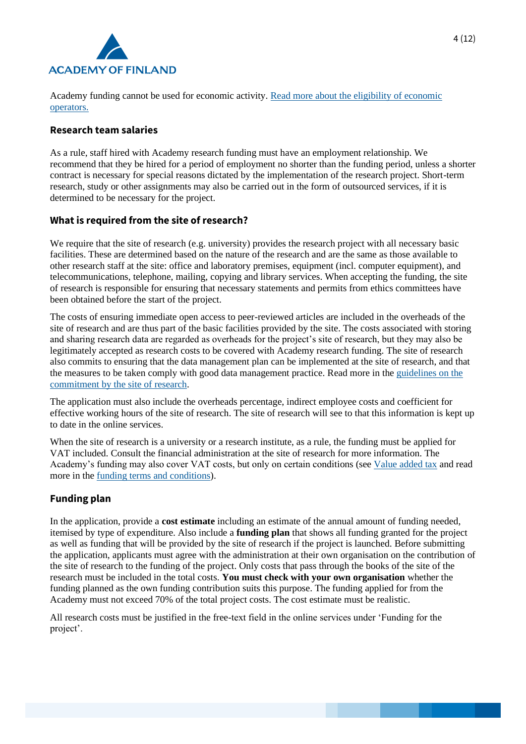

Academy funding cannot be used for economic activity. [Read more about the eligibility of economic](https://www.aka.fi/en/research-funding/apply-for-funding/how-to-apply-for-funding/az-index-of-application-guidelines2/economic-operator/)  [operators.](https://www.aka.fi/en/research-funding/apply-for-funding/how-to-apply-for-funding/az-index-of-application-guidelines2/economic-operator/)

### **Research team salaries**

As a rule, staff hired with Academy research funding must have an employment relationship. We recommend that they be hired for a period of employment no shorter than the funding period, unless a shorter contract is necessary for special reasons dictated by the implementation of the research project. Short-term research, study or other assignments may also be carried out in the form of outsourced services, if it is determined to be necessary for the project.

### **What is required from the site of research?**

We require that the site of research (e.g. university) provides the research project with all necessary basic facilities. These are determined based on the nature of the research and are the same as those available to other research staff at the site: office and laboratory premises, equipment (incl. computer equipment), and telecommunications, telephone, mailing, copying and library services. When accepting the funding, the site of research is responsible for ensuring that necessary statements and permits from ethics committees have been obtained before the start of the project.

The costs of ensuring immediate open access to peer-reviewed articles are included in the overheads of the site of research and are thus part of the basic facilities provided by the site. The costs associated with storing and sharing research data are regarded as overheads for the project's site of research, but they may also be legitimately accepted as research costs to be covered with Academy research funding. The site of research also commits to ensuring that the data management plan can be implemented at the site of research, and that the measures to be taken comply with good data management practice. Read more in the [guidelines on the](https://www.aka.fi/en/research-funding/apply-for-funding/how-to-apply-for-funding/az-index-of-application-guidelines2/commitment-by-site-of-research/)  [commitment by the site of research.](https://www.aka.fi/en/research-funding/apply-for-funding/how-to-apply-for-funding/az-index-of-application-guidelines2/commitment-by-site-of-research/)

The application must also include the overheads percentage, indirect employee costs and coefficient for effective working hours of the site of research. The site of research will see to that this information is kept up to date in the online services.

When the site of research is a university or a research institute, as a rule, the funding must be applied for VAT included. Consult the financial administration at the site of research for more information. The Academy's funding may also cover VAT costs, but only on certain conditions (see [Value added tax](https://www.aka.fi/en/research-funding/apply-for-funding/how-to-apply-for-funding/az-index-of-application-guidelines2/value-added-tax/) and read more in the [funding terms and conditions\)](https://www.aka.fi/en/research-funding/apply-for-funding/how-to-use-funding/).

### **Funding plan**

In the application, provide a **cost estimate** including an estimate of the annual amount of funding needed, itemised by type of expenditure. Also include a **funding plan** that shows all funding granted for the project as well as funding that will be provided by the site of research if the project is launched. Before submitting the application, applicants must agree with the administration at their own organisation on the contribution of the site of research to the funding of the project. Only costs that pass through the books of the site of the research must be included in the total costs. **You must check with your own organisation** whether the funding planned as the own funding contribution suits this purpose. The funding applied for from the Academy must not exceed 70% of the total project costs. The cost estimate must be realistic.

All research costs must be justified in the free-text field in the online services under 'Funding for the project'.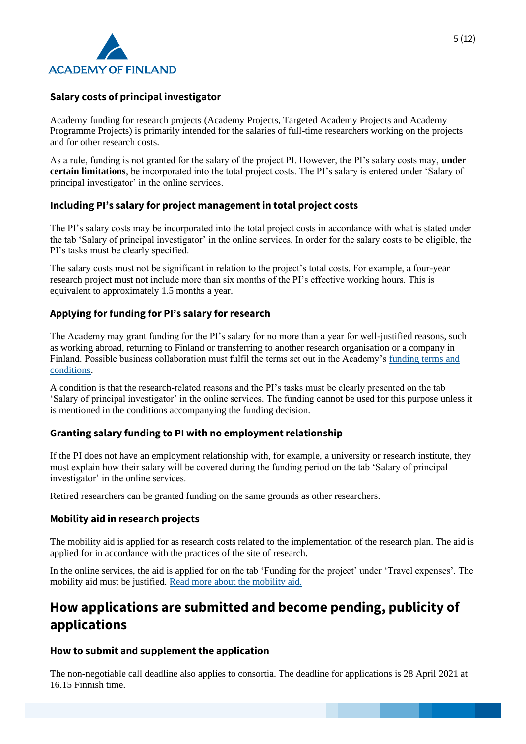

# **Salary costs of principal investigator**

Academy funding for research projects (Academy Projects, Targeted Academy Projects and Academy Programme Projects) is primarily intended for the salaries of full-time researchers working on the projects and for other research costs.

As a rule, funding is not granted for the salary of the project PI. However, the PI's salary costs may, **under certain limitations**, be incorporated into the total project costs. The PI's salary is entered under 'Salary of principal investigator' in the online services.

# **Including PI's salary for project management in total project costs**

The PI's salary costs may be incorporated into the total project costs in accordance with what is stated under the tab 'Salary of principal investigator' in the online services. In order for the salary costs to be eligible, the PI's tasks must be clearly specified.

The salary costs must not be significant in relation to the project's total costs. For example, a four-year research project must not include more than six months of the PI's effective working hours. This is equivalent to approximately 1.5 months a year.

# **Applying for funding for PI's salary for research**

The Academy may grant funding for the PI's salary for no more than a year for well-justified reasons, such as working abroad, returning to Finland or transferring to another research organisation or a company in Finland. Possible business collaboration must fulfil the terms set out in the Academy's [funding terms and](https://www.aka.fi/en/research-funding/apply-for-funding/how-to-use-funding/)  [conditions.](https://www.aka.fi/en/research-funding/apply-for-funding/how-to-use-funding/)

A condition is that the research-related reasons and the PI's tasks must be clearly presented on the tab 'Salary of principal investigator' in the online services. The funding cannot be used for this purpose unless it is mentioned in the conditions accompanying the funding decision.

# **Granting salary funding to PI with no employment relationship**

If the PI does not have an employment relationship with, for example, a university or research institute, they must explain how their salary will be covered during the funding period on the tab 'Salary of principal investigator' in the online services.

Retired researchers can be granted funding on the same grounds as other researchers.

### **Mobility aid in research projects**

The mobility aid is applied for as research costs related to the implementation of the research plan. The aid is applied for in accordance with the practices of the site of research.

In the online services, the aid is applied for on the tab 'Funding for the project' under 'Travel expenses'. The mobility aid must be justified. [Read more about the mobility aid.](https://www.aka.fi/en/research-funding/apply-for-funding/how-to-apply-for-funding/az-index-of-application-guidelines2/mobility-allowance-in-research-projects/)

# **How applications are submitted and become pending, publicity of applications**

### **How to submit and supplement the application**

The non-negotiable call deadline also applies to consortia. The deadline for applications is 28 April 2021 at 16.15 Finnish time.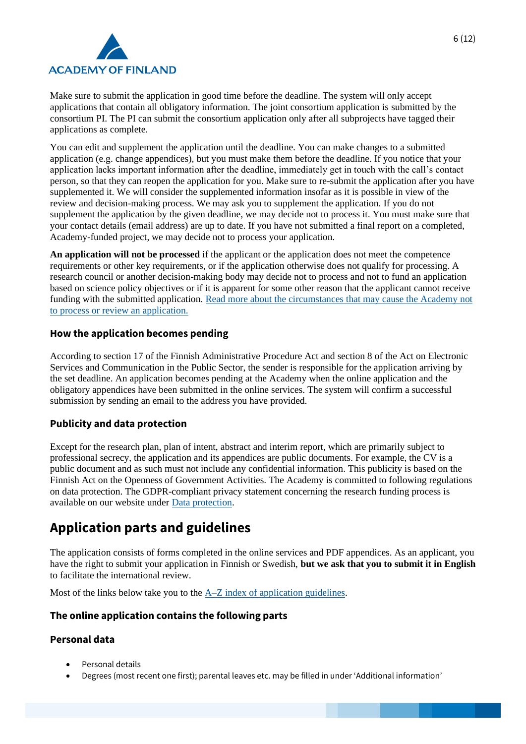

Make sure to submit the application in good time before the deadline. The system will only accept applications that contain all obligatory information. The joint consortium application is submitted by the consortium PI. The PI can submit the consortium application only after all subprojects have tagged their applications as complete.

You can edit and supplement the application until the deadline. You can make changes to a submitted application (e.g. change appendices), but you must make them before the deadline. If you notice that your application lacks important information after the deadline, immediately get in touch with the call's contact person, so that they can reopen the application for you. Make sure to re-submit the application after you have supplemented it. We will consider the supplemented information insofar as it is possible in view of the review and decision-making process. We may ask you to supplement the application. If you do not supplement the application by the given deadline, we may decide not to process it. You must make sure that your contact details (email address) are up to date. If you have not submitted a final report on a completed, Academy-funded project, we may decide not to process your application.

**An application will not be processed** if the applicant or the application does not meet the competence requirements or other key requirements, or if the application otherwise does not qualify for processing. A research council or another decision-making body may decide not to process and not to fund an application based on science policy objectives or if it is apparent for some other reason that the applicant cannot receive funding with the submitted application. [Read more about the circumstances that may cause the Academy not](https://www.aka.fi/en/research-funding/peer-review-and-funding-decision/review-and-decision-making/)  [to process or review an application.](https://www.aka.fi/en/research-funding/peer-review-and-funding-decision/review-and-decision-making/)

# **How the application becomes pending**

According to section 17 of the Finnish Administrative Procedure Act and section 8 of the Act on Electronic Services and Communication in the Public Sector, the sender is responsible for the application arriving by the set deadline. An application becomes pending at the Academy when the online application and the obligatory appendices have been submitted in the online services. The system will confirm a successful submission by sending an email to the address you have provided.

### **Publicity and data protection**

Except for the research plan, plan of intent, abstract and interim report, which are primarily subject to professional secrecy, the application and its appendices are public documents. For example, the CV is a public document and as such must not include any confidential information. This publicity is based on the Finnish Act on the Openness of Government Activities. The Academy is committed to following regulations on data protection. The GDPR-compliant privacy statement concerning the research funding process is available on our website under [Data protection.](https://www.aka.fi/en/contacts/data-protection-in-the-academy-of-finland/)

# **Application parts and guidelines**

The application consists of forms completed in the online services and PDF appendices. As an applicant, you have the right to submit your application in Finnish or Swedish, **but we ask that you to submit it in English** to facilitate the international review.

Most of the links below take you to the [A–Z index of application guidelines.](https://www.aka.fi/en/research-funding/apply-for-funding/how-to-apply-for-funding/az-index-of-application-guidelines2/)

### **The online application contains the following parts**

# **Personal data**

- Personal details
- Degrees (most recent one first); parental leaves etc. may be filled in under 'Additional information'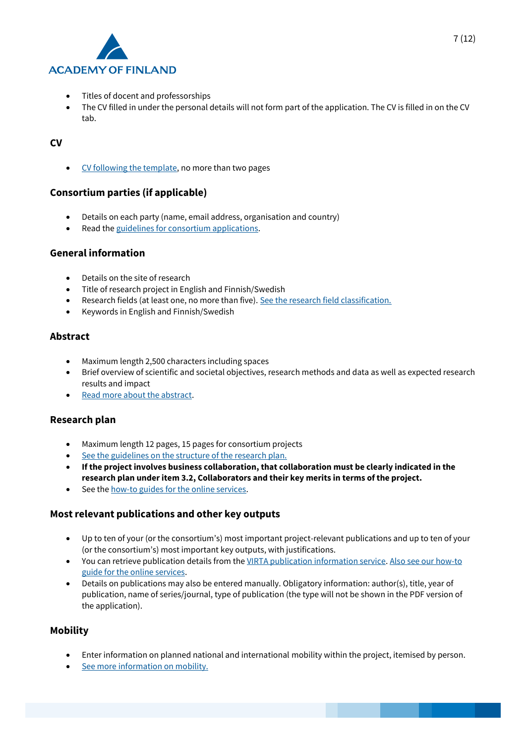

- Titles of docent and professorships
- The CV filled in under the personal details will not form part of the application. The CV is filled in on the CV tab.

### **CV**

• [CV following the template,](https://www.aka.fi/en/research-funding/apply-for-funding/how-to-apply-for-funding/az-index-of-application-guidelines2/cv-guidelines/) no more than two pages

# **Consortium parties (if applicable)**

- Details on each party (name, email address, organisation and country)
- Read th[e guidelines for consortium applications.](https://www.aka.fi/en/research-funding/apply-for-funding/how-to-apply-for-funding/az-index-of-application-guidelines2/consortium-applications/)

### **General information**

- Details on the site of research
- Title of research project in English and Finnish/Swedish
- Research fields (at least one, no more than five)[. See the research field classification.](https://www.aka.fi/en/research-funding/apply-for-funding/how-to-apply-for-funding/az-index-of-application-guidelines2/research-field-classification/)
- Keywords in English and Finnish/Swedish

# **Abstract**

- Maximum length 2,500 characters including spaces
- Brief overview of scientific and societal objectives, research methods and data as well as expected research results and impact
- [Read more about the abstract.](https://www.aka.fi/en/research-funding/apply-for-funding/how-to-apply-for-funding/az-index-of-application-guidelines2/abstract/)

### **Research plan**

- Maximum length 12 pages, 15 pages for consortium projects
- [See the guidelines on the structure of the research plan.](https://www.aka.fi/en/research-funding/apply-for-funding/how-to-apply-for-funding/az-index-of-application-guidelines2/research-plan-structure/2021/research-plan-structure---academy-programmes-and-targeted-academy-programmes/)
- **If the project involves business collaboration, that collaboration must be clearly indicated in the research plan under item 3.2, Collaborators and their key merits in terms of the project.**
- See th[e how-to guides for the online services.](https://www.aka.fi/en/online-services/)

# **Most relevant publications and other key outputs**

- Up to ten of your (or the consortium's) most important project-relevant publications and up to ten of your (or the consortium's) most important key outputs, with justifications.
- You can retrieve publication details from th[e VIRTA publication information service.](https://wiki.eduuni.fi/display/cscvirtajtp/VIRTA+in+English) [Also see our how-to](https://www.aka.fi/en/online-services/)  [guide for the online services.](https://www.aka.fi/en/online-services/)
- Details on publications may also be entered manually. Obligatory information: author(s), title, year of publication, name of series/journal, type of publication (the type will not be shown in the PDF version of the application).

### **Mobility**

- Enter information on planned national and international mobility within the project, itemised by person.
- [See more information on mobility.](https://www.aka.fi/en/research-funding/apply-for-funding/how-to-apply-for-funding/az-index-of-application-guidelines2/mobility/)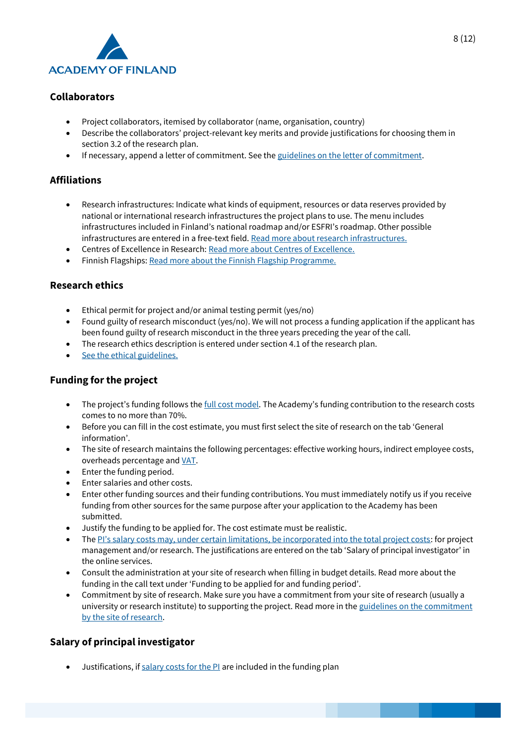

# **Collaborators**

- Project collaborators, itemised by collaborator (name, organisation, country)
- Describe the collaborators' project-relevant key merits and provide justifications for choosing them in section 3.2 of the research plan.
- If necessary, append a letter of commitment. See th[e guidelines on the letter of commitment.](https://www.aka.fi/en/research-funding/apply-for-funding/how-to-apply-for-funding/az-index-of-application-guidelines2/letter-of-commitment/)

# **Affiliations**

- Research infrastructures: Indicate what kinds of equipment, resources or data reserves provided by national or international research infrastructures the project plans to use. The menu includes infrastructures included in Finland's national roadmap and/or ESFRI's roadmap. Other possible infrastructures are entered in a free-text field[. Read more about research infrastructures.](https://www.aka.fi/en/research-funding/programmes-and-other-funding-schemes/research-infrastructures/)
- Centres of Excellence in Research: [Read more about Centres of Excellence.](https://www.aka.fi/en/research-funding/programmes-and-other-funding-schemes/finnish-centres-of-excellence/)
- Finnish Flagships: [Read more about the Finnish Flagship Programme.](https://www.aka.fi/en/research-funding/programmes-and-other-funding-schemes/flagship-programme/)

### **Research ethics**

- Ethical permit for project and/or animal testing permit (yes/no)
- Found guilty of research misconduct (yes/no). We will not process a funding application if the applicant has been found guilty of research misconduct in the three years preceding the year of the call.
- The research ethics description is entered under section 4.1 of the research plan.
- [See the ethical guidelines.](https://www.aka.fi/en/research-funding/apply-for-funding/how-to-apply-for-funding/az-index-of-application-guidelines2/ethical-questions/)

### **Funding for the project**

- The project's funding follows the [full cost model](https://www.aka.fi/en/research-funding/apply-for-funding/how-to-apply-for-funding/az-index-of-application-guidelines2/full-cost-model/). The Academy's funding contribution to the research costs comes to no more than 70%.
- Before you can fill in the cost estimate, you must first select the site of research on the tab 'General information'.
- The site of research maintains the following percentages: effective working hours, indirect employee costs, overheads percentage and [VAT.](https://www.aka.fi/en/research-funding/apply-for-funding/how-to-apply-for-funding/az-index-of-application-guidelines2/value-added-tax/)
- Enter the funding period.
- Enter salaries and other costs.
- Enter other funding sources and their funding contributions. You must immediately notify us if you receive funding from other sources for the same purpose after your application to the Academy has been submitted.
- Justify the funding to be applied for. The cost estimate must be realistic.
- The [PI's salary costs may, under certain limitations, be incorporated into the total project costs](https://www.aka.fi/en/research-funding/apply-for-funding/how-to-apply-for-funding/az-index-of-application-guidelines2/salary-of-principal-investigator/): for project management and/or research. The justifications are entered on the tab 'Salary of principal investigator' in the online services.
- Consult the administration at your site of research when filling in budget details. Read more about the funding in the call text under 'Funding to be applied for and funding period'.
- Commitment by site of research. Make sure you have a commitment from your site of research (usually a university or research institute) to supporting the project. Read more in the guidelines on the commitment [by the site of research.](https://www.aka.fi/en/research-funding/apply-for-funding/how-to-apply-for-funding/az-index-of-application-guidelines2/commitment-by-site-of-research/)

### **Salary of principal investigator**

• Justifications, if [salary costs for the PI](https://www.aka.fi/en/research-funding/apply-for-funding/how-to-apply-for-funding/az-index-of-application-guidelines2/salary-of-principal-investigator/) are included in the funding plan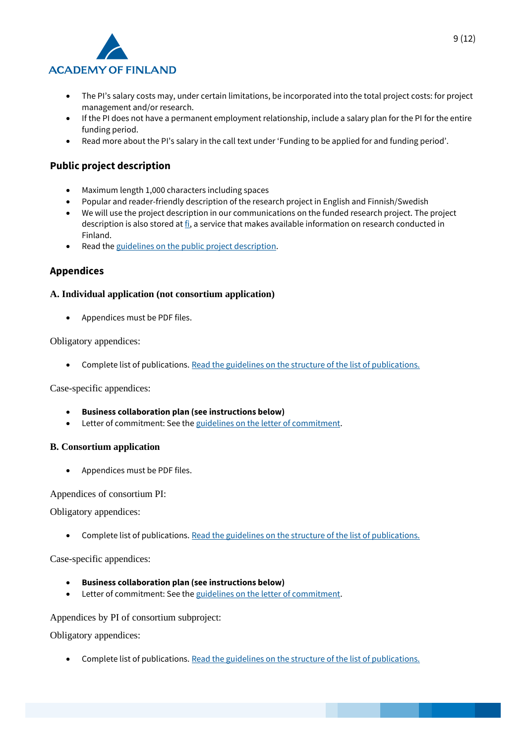

- The PI's salary costs may, under certain limitations, be incorporated into the total project costs: for project management and/or research.
- If the PI does not have a permanent employment relationship, include a salary plan for the PI for the entire funding period.
- Read more about the PI's salary in the call text under 'Funding to be applied for and funding period'.

# **Public project description**

- Maximum length 1,000 characters including spaces
- Popular and reader-friendly description of the research project in English and Finnish/Swedish
- We will use the project description in our communications on the funded research project. The project description is also stored at  $\underline{f}i$ , a service that makes available information on research conducted in Finland.
- Read th[e guidelines on the public project description.](https://www.aka.fi/en/research-funding/apply-for-funding/how-to-apply-for-funding/az-index-of-application-guidelines2/public-project-description/)

### **Appendices**

#### **A. Individual application (not consortium application)**

• Appendices must be PDF files.

Obligatory appendices:

• Complete list of publications. [Read the guidelines on the structure of the list of publications.](https://www.aka.fi/en/research-funding/apply-for-funding/how-to-apply-for-funding/az-index-of-application-guidelines2/list-of-publications/)

Case-specific appendices:

- **Business collaboration plan (see instructions below)**
- Letter of commitment: See the [guidelines on the letter of commitment.](https://www.aka.fi/en/research-funding/apply-for-funding/how-to-apply-for-funding/az-index-of-application-guidelines2/letter-of-commitment/)

#### **B. Consortium application**

• Appendices must be PDF files.

Appendices of consortium PI:

Obligatory appendices:

• Complete list of publications. [Read the guidelines on the structure of the list of publications.](https://www.aka.fi/en/research-funding/apply-for-funding/how-to-apply-for-funding/az-index-of-application-guidelines2/list-of-publications/)

Case-specific appendices:

- **Business collaboration plan (see instructions below)**
- Letter of commitment: See the [guidelines on the letter of commitment.](https://www.aka.fi/en/research-funding/apply-for-funding/how-to-apply-for-funding/az-index-of-application-guidelines2/letter-of-commitment/)

Appendices by PI of consortium subproject:

Obligatory appendices:

• Complete list of publications. [Read the guidelines on the structure of the list of publications.](https://www.aka.fi/en/research-funding/apply-for-funding/how-to-apply-for-funding/az-index-of-application-guidelines2/list-of-publications/)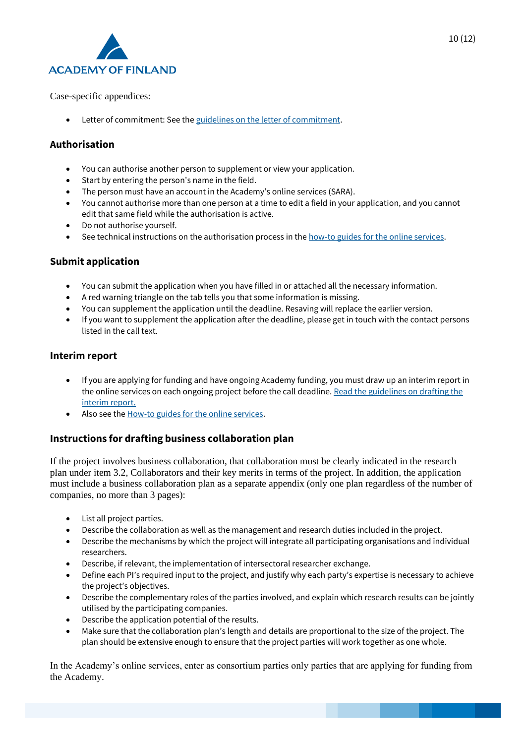

Case-specific appendices:

• Letter of commitment: See the [guidelines on the letter of commitment.](https://www.aka.fi/en/research-funding/apply-for-funding/how-to-apply-for-funding/az-index-of-application-guidelines2/letter-of-commitment/)

# **Authorisation**

- You can authorise another person to supplement or view your application.
- Start by entering the person's name in the field.
- The person must have an account in the Academy's online services (SARA).
- You cannot authorise more than one person at a time to edit a field in your application, and you cannot edit that same field while the authorisation is active.
- Do not authorise yourself.
- See technical instructions on the authorisation process in th[e how-to guides for the online services.](https://www.aka.fi/en/online-services/)

# **Submit application**

- You can submit the application when you have filled in or attached all the necessary information.
- A red warning triangle on the tab tells you that some information is missing.
- You can supplement the application until the deadline. Resaving will replace the earlier version.
- If you want to supplement the application after the deadline, please get in touch with the contact persons listed in the call text.

# **Interim report**

- If you are applying for funding and have ongoing Academy funding, you must draw up an interim report in the online services on each ongoing project before the call deadline. Read the guidelines on drafting the [interim report.](https://www.aka.fi/en/research-funding/apply-for-funding/how-to-apply-for-funding/az-index-of-application-guidelines2/interim-report/)
- Also see th[e How-to guides for the online services.](https://www.aka.fi/en/online-services/)

# **Instructions for drafting business collaboration plan**

If the project involves business collaboration, that collaboration must be clearly indicated in the research plan under item 3.2, Collaborators and their key merits in terms of the project. In addition, the application must include a business collaboration plan as a separate appendix (only one plan regardless of the number of companies, no more than 3 pages):

- List all project parties.
- Describe the collaboration as well as the management and research duties included in the project.
- Describe the mechanisms by which the project will integrate all participating organisations and individual researchers.
- Describe, if relevant, the implementation of intersectoral researcher exchange.
- Define each PI's required input to the project, and justify why each party's expertise is necessary to achieve the project's objectives.
- Describe the complementary roles of the parties involved, and explain which research results can be jointly utilised by the participating companies.
- Describe the application potential of the results.
- Make sure that the collaboration plan's length and details are proportional to the size of the project. The plan should be extensive enough to ensure that the project parties will work together as one whole.

In the Academy's online services, enter as consortium parties only parties that are applying for funding from the Academy.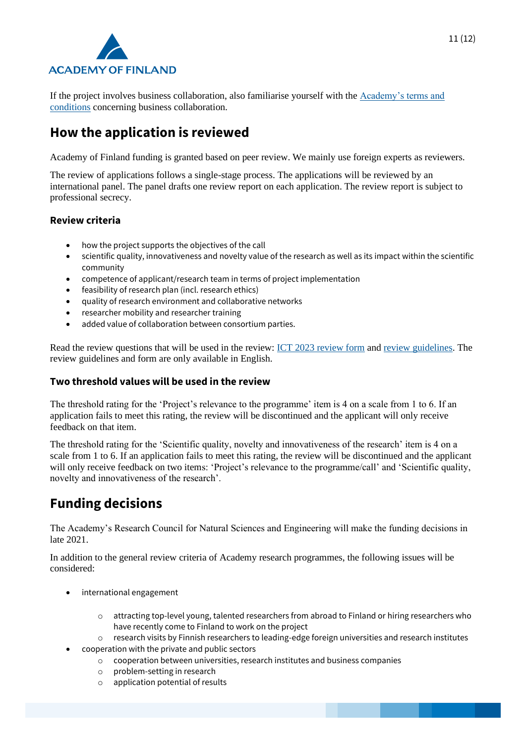

If the project involves business collaboration, also familiarise yourself with the [Academy's terms and](https://www.aka.fi/en/research-funding/apply-for-funding/how-to-use-funding/)  [conditions](https://www.aka.fi/en/research-funding/apply-for-funding/how-to-use-funding/) concerning business collaboration.

# **How the application is reviewed**

Academy of Finland funding is granted based on peer review. We mainly use foreign experts as reviewers.

The review of applications follows a single-stage process. The applications will be reviewed by an international panel. The panel drafts one review report on each application. The review report is subject to professional secrecy.

### **Review criteria**

- how the project supports the objectives of the call
- scientific quality, innovativeness and novelty value of the research as well as its impact within the scientific community
- competence of applicant/research team in terms of project implementation
- feasibility of research plan (incl. research ethics)
- quality of research environment and collaborative networks
- researcher mobility and researcher training
- added value of collaboration between consortium parties.

Read the review questions that will be used in the review: [ICT 2023 review form](https://www.aka.fi/globalassets/1-tutkimusrahoitus/2-arviointi-ja-paatoksenteko/3-arviointiohjeet-ja-lomakkeet/review-form-2021-ict2023.pdf) and [review guidelines.](https://www.aka.fi/globalassets/1-tutkimusrahoitus/2-arviointi-ja-paatoksenteko/3-arviointiohjeet-ja-lomakkeet/instructions-for-reviewing-academy-programme-targeted-call.pdf) The review guidelines and form are only available in English.

### **Two threshold values will be used in the review**

The threshold rating for the 'Project's relevance to the programme' item is 4 on a scale from 1 to 6. If an application fails to meet this rating, the review will be discontinued and the applicant will only receive feedback on that item.

The threshold rating for the 'Scientific quality, novelty and innovativeness of the research' item is 4 on a scale from 1 to 6. If an application fails to meet this rating, the review will be discontinued and the applicant will only receive feedback on two items: 'Project's relevance to the programme/call' and 'Scientific quality, novelty and innovativeness of the research'.

# **Funding decisions**

The Academy's Research Council for Natural Sciences and Engineering will make the funding decisions in late 2021.

In addition to the general review criteria of Academy research programmes, the following issues will be considered:

- international engagement
	- o attracting top-level young, talented researchers from abroad to Finland or hiring researchers who have recently come to Finland to work on the project
	- o research visits by Finnish researchers to leading-edge foreign universities and research institutes
	- cooperation with the private and public sectors
		- o cooperation between universities, research institutes and business companies
		- o problem-setting in research
		- o application potential of results